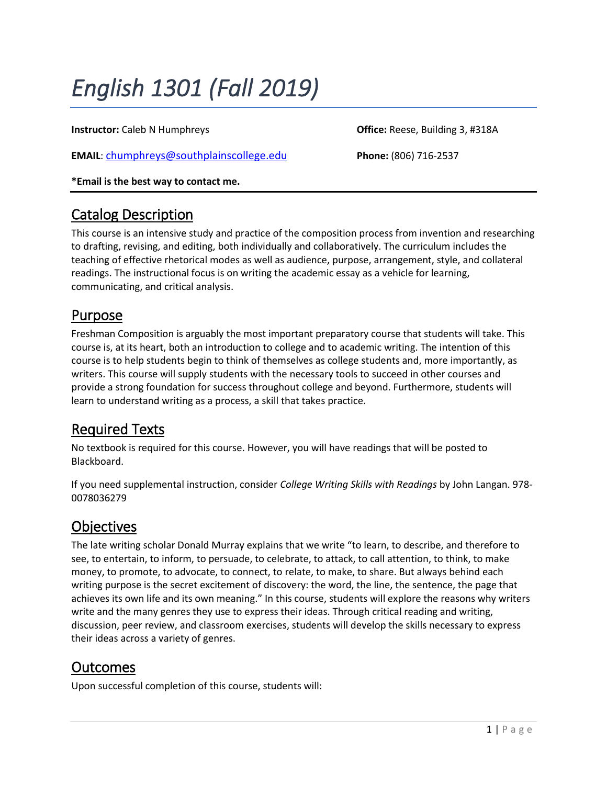# *English 1301 (Fall 2019)*

**Instructor:** Caleb N Humphreys **Caleb N Humphreys Caleb N Humphreys Caleb N Humphreys Caleb N Humphreys Caleb N Humphreys Caleb N Humphreys Caleb N Humphreys Caleb N Humphreys Caleb N Humphreys Caleb N H** 

**EMAIL**: [chumphreys@southplainscollege.edu](mailto:chumphreys@southplainscollege.edu) **Phone:** (806) 716-2537

**\*Email is the best way to contact me.**

#### Catalog Description

This course is an intensive study and practice of the composition process from invention and researching to drafting, revising, and editing, both individually and collaboratively. The curriculum includes the teaching of effective rhetorical modes as well as audience, purpose, arrangement, style, and collateral readings. The instructional focus is on writing the academic essay as a vehicle for learning, communicating, and critical analysis.

### Purpose

Freshman Composition is arguably the most important preparatory course that students will take. This course is, at its heart, both an introduction to college and to academic writing. The intention of this course is to help students begin to think of themselves as college students and, more importantly, as writers. This course will supply students with the necessary tools to succeed in other courses and provide a strong foundation for success throughout college and beyond. Furthermore, students will learn to understand writing as a process, a skill that takes practice.

### Required Texts

No textbook is required for this course. However, you will have readings that will be posted to Blackboard.

If you need supplemental instruction, consider *College Writing Skills with Readings* by John Langan. 978- 0078036279

### **Objectives**

The late writing scholar Donald Murray explains that we write "to learn, to describe, and therefore to see, to entertain, to inform, to persuade, to celebrate, to attack, to call attention, to think, to make money, to promote, to advocate, to connect, to relate, to make, to share. But always behind each writing purpose is the secret excitement of discovery: the word, the line, the sentence, the page that achieves its own life and its own meaning." In this course, students will explore the reasons why writers write and the many genres they use to express their ideas. Through critical reading and writing, discussion, peer review, and classroom exercises, students will develop the skills necessary to express their ideas across a variety of genres.

### Outcomes

Upon successful completion of this course, students will: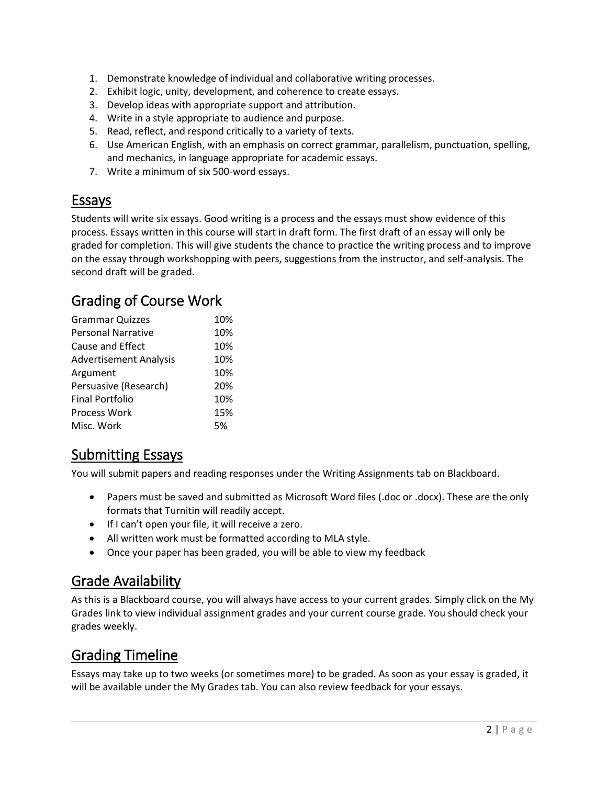- 1. Demonstrate knowledge of individual and collaborative writing processes.
- 2. Exhibit logic, unity, development, and coherence to create essays.
- 3. Develop ideas with appropriate support and attribution.
- 4. Write in a style appropriate to audience and purpose.
- 5. Read, reflect, and respond critically to a variety of texts.
- 6. Use American English, with an emphasis on correct grammar, parallelism, punctuation, spelling, and mechanics, in language appropriate for academic essays.
- 7. Write a minimum of six 500-word essays.

### Essays

Students will write six essays. Good writing is a process and the essays must show evidence of this process. Essays written in this course will start in draft form. The first draft of an essay will only be graded for completion. This will give students the chance to practice the writing process and to improve on the essay through workshopping with peers, suggestions from the instructor, and self-analysis. The second draft will be graded.

### Grading of Course Work

| <b>Grammar Quizzes</b>        | 10% |
|-------------------------------|-----|
| <b>Personal Narrative</b>     | 10% |
| <b>Cause and Effect</b>       | 10% |
| <b>Advertisement Analysis</b> | 10% |
| Argument                      | 10% |
| Persuasive (Research)         | 20% |
| <b>Final Portfolio</b>        | 10% |
| <b>Process Work</b>           | 15% |
| Misc. Work                    | 5%  |

### Submitting Essays

You will submit papers and reading responses under the Writing Assignments tab on Blackboard.

- Papers must be saved and submitted as Microsoft Word files (.doc or .docx). These are the only formats that Turnitin will readily accept.
- **If I can't open your file, it will receive a zero.**
- All written work must be formatted according to MLA style.
- Once your paper has been graded, you will be able to view my feedback

### Grade Availability

As this is a Blackboard course, you will always have access to your current grades. Simply click on the My Grades link to view individual assignment grades and your current course grade. You should check your grades weekly.

### Grading Timeline

Essays may take up to two weeks (or sometimes more) to be graded. As soon as your essay is graded, it will be available under the My Grades tab. You can also review feedback for your essays.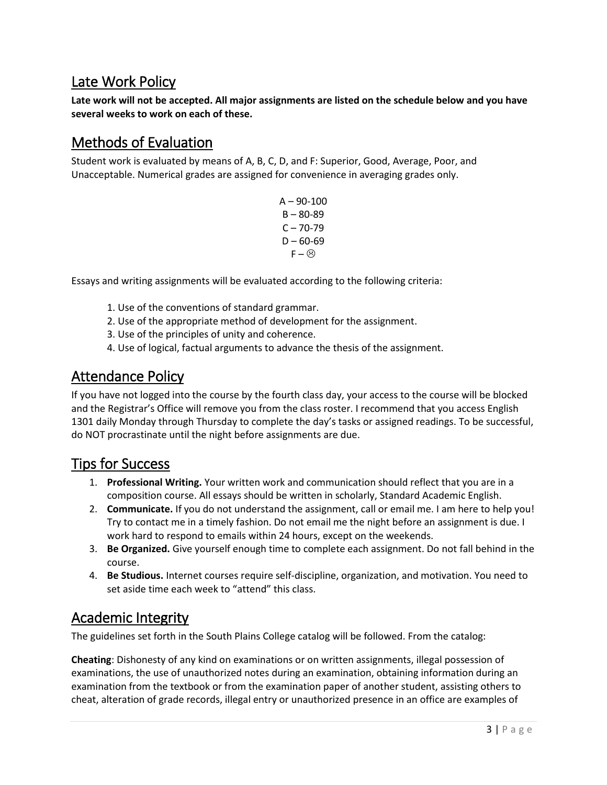### Late Work Policy

**Late work will not be accepted. All major assignments are listed on the schedule below and you have several weeks to work on each of these.** 

### Methods of Evaluation

Student work is evaluated by means of A, B, C, D, and F: Superior, Good, Average, Poor, and Unacceptable. Numerical grades are assigned for convenience in averaging grades only.

> $A - 90 - 100$ B – 80-89  $C - 70 - 79$  $D - 60 - 69$  $F - \odot$

Essays and writing assignments will be evaluated according to the following criteria:

- 1. Use of the conventions of standard grammar.
- 2. Use of the appropriate method of development for the assignment.
- 3. Use of the principles of unity and coherence.
- 4. Use of logical, factual arguments to advance the thesis of the assignment.

#### Attendance Policy

If you have not logged into the course by the fourth class day, your access to the course will be blocked and the Registrar's Office will remove you from the class roster. I recommend that you access English 1301 daily Monday through Thursday to complete the day's tasks or assigned readings. To be successful, do NOT procrastinate until the night before assignments are due.

#### Tips for Success

- 1. **Professional Writing.** Your written work and communication should reflect that you are in a composition course. All essays should be written in scholarly, Standard Academic English.
- 2. **Communicate.** If you do not understand the assignment, call or email me. I am here to help you! Try to contact me in a timely fashion. Do not email me the night before an assignment is due. I work hard to respond to emails within 24 hours, except on the weekends.
- 3. **Be Organized.** Give yourself enough time to complete each assignment. Do not fall behind in the course.
- 4. **Be Studious.** Internet courses require self-discipline, organization, and motivation. You need to set aside time each week to "attend" this class.

### Academic Integrity

The guidelines set forth in the South Plains College catalog will be followed. From the catalog:

**Cheating**: Dishonesty of any kind on examinations or on written assignments, illegal possession of examinations, the use of unauthorized notes during an examination, obtaining information during an examination from the textbook or from the examination paper of another student, assisting others to cheat, alteration of grade records, illegal entry or unauthorized presence in an office are examples of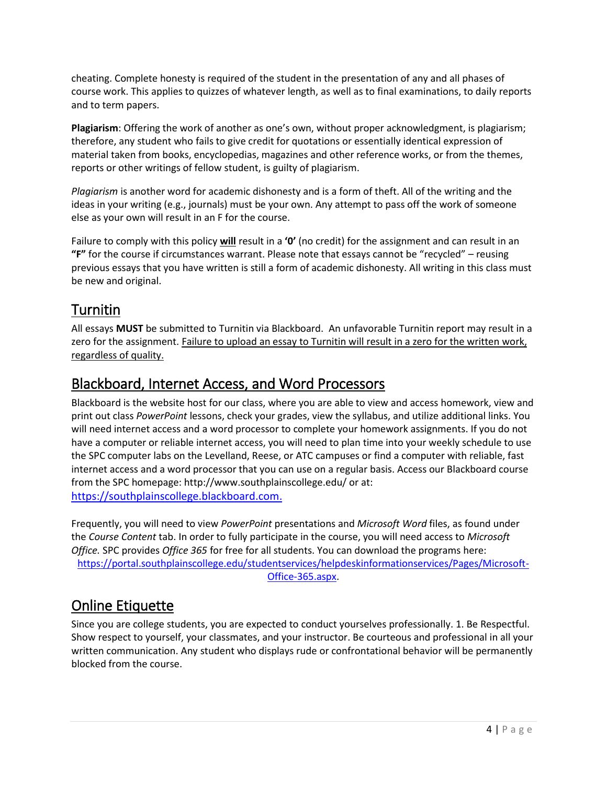cheating. Complete honesty is required of the student in the presentation of any and all phases of course work. This applies to quizzes of whatever length, as well as to final examinations, to daily reports and to term papers.

**Plagiarism**: Offering the work of another as one's own, without proper acknowledgment, is plagiarism; therefore, any student who fails to give credit for quotations or essentially identical expression of material taken from books, encyclopedias, magazines and other reference works, or from the themes, reports or other writings of fellow student, is guilty of plagiarism.

*Plagiarism* is another word for academic dishonesty and is a form of theft. All of the writing and the ideas in your writing (e.g., journals) must be your own. Any attempt to pass off the work of someone else as your own will result in an F for the course.

Failure to comply with this policy **will** result in a **'0'** (no credit) for the assignment and can result in an **"F"** for the course if circumstances warrant. Please note that essays cannot be "recycled" – reusing previous essays that you have written is still a form of academic dishonesty. All writing in this class must be new and original.

### Turnitin

All essays **MUST** be submitted to Turnitin via Blackboard. An unfavorable Turnitin report may result in a zero for the assignment. Failure to upload an essay to Turnitin will result in a zero for the written work, regardless of quality.

### Blackboard, Internet Access, and Word Processors

Blackboard is the website host for our class, where you are able to view and access homework, view and print out class *PowerPoint* lessons, check your grades, view the syllabus, and utilize additional links. You will need internet access and a word processor to complete your homework assignments. If you do not have a computer or reliable internet access, you will need to plan time into your weekly schedule to use the SPC computer labs on the Levelland, Reese, or ATC campuses or find a computer with reliable, fast internet access and a word processor that you can use on a regular basis. Access our Blackboard course from the SPC homepage: http://www.southplainscollege.edu/ or at: [https://southplainscollege.blackboard.com.](https://southplainscollege.blackboard.com/)

Frequently, you will need to view *PowerPoint* presentations and *Microsoft Word* files, as found under the *Course Content* tab. In order to fully participate in the course, you will need access to *Microsoft Office.* SPC provides *Office 365* for free for all students. You can download the programs here: [https://portal.southplainscollege.edu/studentservices/helpdeskinformationservices/Pages/Microsoft-](https://portal.southplainscollege.edu/studentservices/helpdeskinformationservices/Pages/Microsoft-Office-365.aspx)[Office-365.aspx.](https://portal.southplainscollege.edu/studentservices/helpdeskinformationservices/Pages/Microsoft-Office-365.aspx)

### Online Etiquette

Since you are college students, you are expected to conduct yourselves professionally. 1. Be Respectful. Show respect to yourself, your classmates, and your instructor. Be courteous and professional in all your written communication. Any student who displays rude or confrontational behavior will be permanently blocked from the course.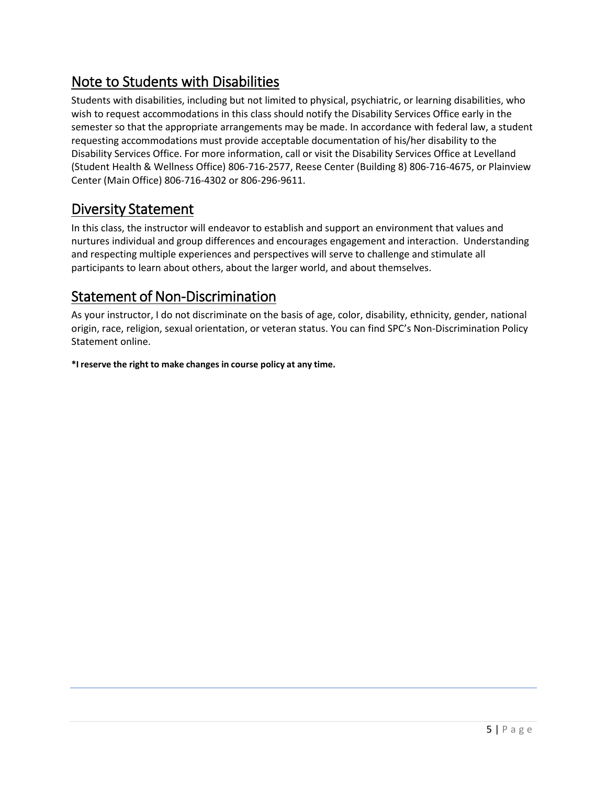### Note to Students with Disabilities

Students with disabilities, including but not limited to physical, psychiatric, or learning disabilities, who wish to request accommodations in this class should notify the Disability Services Office early in the semester so that the appropriate arrangements may be made. In accordance with federal law, a student requesting accommodations must provide acceptable documentation of his/her disability to the Disability Services Office. For more information, call or visit the Disability Services Office at Levelland (Student Health & Wellness Office) 806-716-2577, Reese Center (Building 8) 806-716-4675, or Plainview Center (Main Office) 806-716-4302 or 806-296-9611.

### Diversity Statement

In this class, the instructor will endeavor to establish and support an environment that values and nurtures individual and group differences and encourages engagement and interaction. Understanding and respecting multiple experiences and perspectives will serve to challenge and stimulate all participants to learn about others, about the larger world, and about themselves.

### Statement of Non-Discrimination

As your instructor, I do not discriminate on the basis of age, color, disability, ethnicity, gender, national origin, race, religion, sexual orientation, or veteran status. You can find SPC's Non-Discrimination Policy Statement online.

**\*I reserve the right to make changes in course policy at any time.**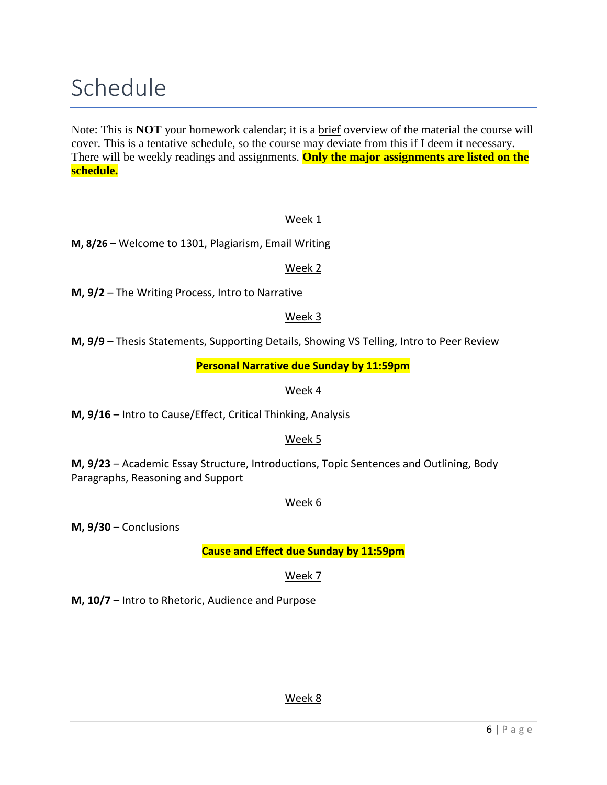## Schedule

Note: This is **NOT** your homework calendar; it is a **brief** overview of the material the course will cover. This is a tentative schedule, so the course may deviate from this if I deem it necessary. There will be weekly readings and assignments. **Only the major assignments are listed on the schedule.**

#### Week 1

**M, 8/26** – Welcome to 1301, Plagiarism, Email Writing

#### Week 2

**M, 9/2** – The Writing Process, Intro to Narrative

#### Week 3

**M, 9/9** – Thesis Statements, Supporting Details, Showing VS Telling, Intro to Peer Review

**Personal Narrative due Sunday by 11:59pm**

#### Week 4

**M, 9/16** – Intro to Cause/Effect, Critical Thinking, Analysis

#### Week 5

**M, 9/23** – Academic Essay Structure, Introductions, Topic Sentences and Outlining, Body Paragraphs, Reasoning and Support

#### Week 6

**M, 9/30** – Conclusions

**Cause and Effect due Sunday by 11:59pm**

#### Week 7

**M, 10/7** – Intro to Rhetoric, Audience and Purpose

#### Week 8